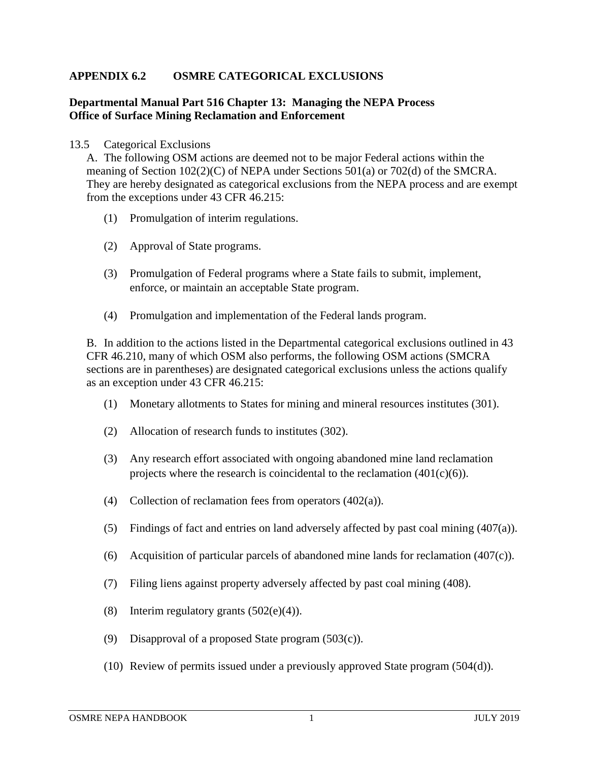## **APPENDIX 6.2 OSMRE CATEGORICAL EXCLUSIONS**

## **Departmental Manual Part 516 Chapter 13: Managing the NEPA Process Office of Surface Mining Reclamation and Enforcement**

## 13.5 Categorical Exclusions

A. The following OSM actions are deemed not to be major Federal actions within the meaning of Section  $102(2)(C)$  of NEPA under Sections 501(a) or 702(d) of the SMCRA. They are hereby designated as categorical exclusions from the NEPA process and are exempt from the exceptions under 43 CFR 46.215:

- (1) Promulgation of interim regulations.
- (2) Approval of State programs.
- (3) Promulgation of Federal programs where a State fails to submit, implement, enforce, or maintain an acceptable State program.
- (4) Promulgation and implementation of the Federal lands program.

B. In addition to the actions listed in the Departmental categorical exclusions outlined in 43 CFR 46.210, many of which OSM also performs, the following OSM actions (SMCRA sections are in parentheses) are designated categorical exclusions unless the actions qualify as an exception under 43 CFR 46.215:

- (1) Monetary allotments to States for mining and mineral resources institutes (301).
- (2) Allocation of research funds to institutes (302).
- (3) Any research effort associated with ongoing abandoned mine land reclamation projects where the research is coincidental to the reclamation  $(401(c)(6))$ .
- (4) Collection of reclamation fees from operators  $(402(a))$ .
- (5) Findings of fact and entries on land adversely affected by past coal mining (407(a)).
- (6) Acquisition of particular parcels of abandoned mine lands for reclamation  $(407(c))$ .
- (7) Filing liens against property adversely affected by past coal mining (408).
- (8) Interim regulatory grants  $(502(e)(4))$ .
- (9) Disapproval of a proposed State program (503(c)).
- (10) Review of permits issued under a previously approved State program (504(d)).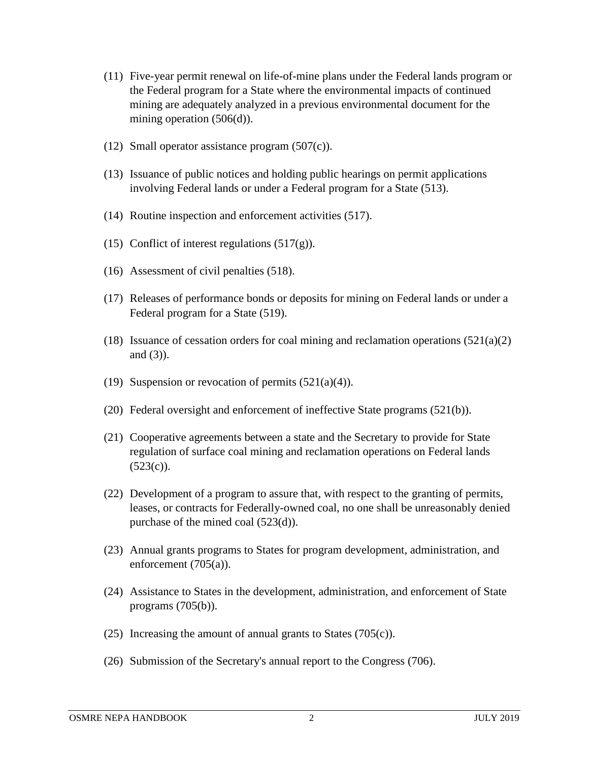- (11) Five-year permit renewal on life-of-mine plans under the Federal lands program or the Federal program for a State where the environmental impacts of continued mining are adequately analyzed in a previous environmental document for the mining operation (506(d)).
- (12) Small operator assistance program  $(507(c))$ .
- (13) Issuance of public notices and holding public hearings on permit applications involving Federal lands or under a Federal program for a State (513).
- (14) Routine inspection and enforcement activities (517).
- (15) Conflict of interest regulations  $(517(g))$ .
- (16) Assessment of civil penalties (518).
- (17) Releases of performance bonds or deposits for mining on Federal lands or under a Federal program for a State (519).
- (18) Issuance of cessation orders for coal mining and reclamation operations  $(521(a)(2)$ and (3)).
- (19) Suspension or revocation of permits  $(521(a)(4))$ .
- (20) Federal oversight and enforcement of ineffective State programs (521(b)).
- (21) Cooperative agreements between a state and the Secretary to provide for State regulation of surface coal mining and reclamation operations on Federal lands  $(523(c))$ .
- (22) Development of a program to assure that, with respect to the granting of permits, leases, or contracts for Federally-owned coal, no one shall be unreasonably denied purchase of the mined coal (523(d)).
- (23) Annual grants programs to States for program development, administration, and enforcement (705(a)).
- (24) Assistance to States in the development, administration, and enforcement of State programs (705(b)).
- (25) Increasing the amount of annual grants to States (705(c)).
- (26) Submission of the Secretary's annual report to the Congress (706).